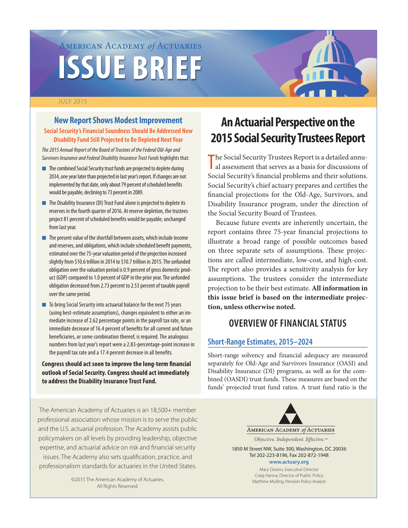# American Academy *of* Actuaries **ISSUE BRIEF**

#### JULY 2015

### **New Report Shows Modest Improvement**

#### **Social Security's Financial Soundness Should Be Addressed Now Disability Fund Still Projected to Be Depleted Next Year**

*The 2015 Annual Report of the Board of Trustees of the Federal Old-Age and Survivors Insurance and Federal Disability Insurance Trust Funds* highlights that:

- **n** The combined Social Security trust funds are projected to deplete during 2034, one year later than projected in last year's report. If changes are not implemented by that date, only about 79 percent of scheduled benefits would be payable, declining to 73 percent in 2089.
- $\blacksquare$  The Disability Insurance (DI) Trust Fund alone is projected to deplete its reserves in the fourth quarter of 2016. At reserve depletion, the trustees project 81 percent of scheduled benefits would be payable, unchanged from last year.
- $\blacksquare$  The present value of the shortfall between assets, which include income and reserves, and obligations, which include scheduled benefit payments, estimated over the 75-year valuation period of the projection increased slightly from \$10.6 trillion in 2014 to \$10.7 trillion in 2015. The unfunded obligation over the valuation period is 0.9 percent of gross domestic product (GDP) compared to 1.0 percent of GDP in the prior year. The unfunded obligation decreased from 2.73 percent to 2.53 percent of taxable payroll over the same period.
- $\blacksquare$  To bring Social Security into actuarial balance for the next 75 years (using best-estimate assumptions), changes equivalent to either an immediate increase of 2.62 percentage points in the payroll tax rate, or an immediate decrease of 16.4 percent of benefits for all current and future beneficiaries, or some combination thereof, is required. The analogous numbers from last year's report were a 2.83-percentage-point increase in the payroll tax rate and a 17.4 percent decrease in all benefits.

**Congress should act soon to improve the long-term financial outlook of Social Security. Congress should act immediately to address the Disability Insurance Trust Fund.**

The American Academy of Actuaries is an 18,500+ member professional association whose mission is to serve the public and the U.S. actuarial profession. The Academy assists public policymakers on all levels by providing leadership, objective expertise, and actuarial advice on risk and financial security issues. The Academy also sets qualification, practice, and professionalism standards for actuaries in the United States.

> ©2015 The American Academy of Actuaries. All Rights Reserved.

# **An Actuarial Perspective on the 2015 Social Security Trustees Report**

The Social Security Trustees Report is a detailed annual assessment that serves as a basis for discussions of al assessment that serves as a basis for discussions of Social Security's financial problems and their solutions. Social Security's chief actuary prepares and certifies the financial projections for the Old-Age, Survivors, and Disability Insurance program, under the direction of the Social Security Board of Trustees.

Because future events are inherently uncertain, the report contains three 75-year financial projections to illustrate a broad range of possible outcomes based on three separate sets of assumptions. These projections are called intermediate, low-cost, and high-cost. The report also provides a sensitivity analysis for key assumptions. The trustees consider the intermediate projection to be their best estimate. **All information in this issue brief is based on the intermediate projection, unless otherwise noted.**

## **OVERVIEW OF FINANCIAL STATUS**

#### **Short-Range Estimates, 2015–2024**

Short-range solvency and financial adequacy are measured separately for Old-Age and Survivors Insurance (OASI) and Disability Insurance (DI) programs, as well as for the combined (OASDI) trust funds. These measures are based on the funds' projected trust fund ratios. A trust fund ratio is the



Mary Downs, Executive Director Craig Hanna, Director of Public Policy Matthew Mulling, Pension Policy Analyst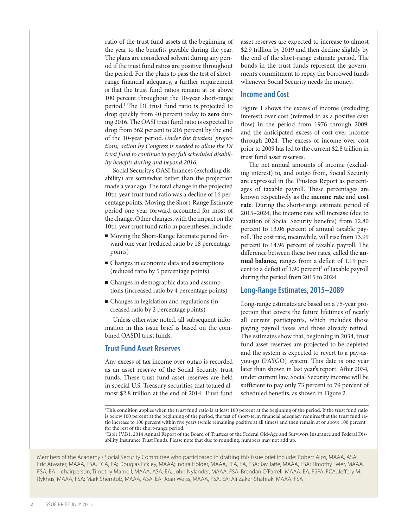ratio of the trust fund assets at the beginning of the year to the benefits payable during the year. The plans are considered solvent during any period if the trust fund ratios are positive throughout the period. For the plans to pass the test of shortrange financial adequacy, a further requirement is that the trust fund ratios remain at or above 100 percent throughout the 10-year short-range period.1 The DI trust fund ratio is projected to drop quickly from 40 percent today to **zero** during 2016. The OASI trust fund ratio is expected to drop from 362 percent to 216 percent by the end of the 10-year period. *Under the trustees' projections, action by Congress is needed to allow the DI trust fund to continue to pay full scheduled disability benefits during and beyond 2016.*

Social Security's OASI finances (excluding disability) are somewhat better than the projection made a year ago. The total change in the projected 10th-year trust fund ratio was a decline of 16 percentage points. Moving the Short-Range Estimate period one year forward accounted for most of the change. Other changes, with the impact on the 10th-year trust fund ratio in parentheses, include:

- <sup>n</sup> Moving the Short-Range Estimate period forward one year (reduced ratio by 18 percentage points)
- Changes in economic data and assumptions (reduced ratio by 5 percentage points)
- <sup>n</sup> Changes in demographic data and assumptions (increased ratio by 4 percentage points)
- <sup>n</sup> Changes in legislation and regulations (increased ratio by 2 percentage points)

Unless otherwise noted, all subsequent information in this issue brief is based on the combined OASDI trust funds.

#### **Trust Fund Asset Reserves**

Any excess of tax income over outgo is recorded as an asset reserve of the Social Security trust funds. These trust fund asset reserves are held in special U.S. Treasury securities that totaled almost \$2.8 trillion at the end of 2014. Trust fund asset reserves are expected to increase to almost \$2.9 trillion by 2019 and then decline slightly by the end of the short-range estimate period. The bonds in the trust funds represent the government's commitment to repay the borrowed funds whenever Social Security needs the money.

#### **Income and Cost**

Figure 1 shows the excess of income (excluding interest) over cost (referred to as a positive cash flow) in the period from 1976 through 2009, and the anticipated excess of cost over income through 2024. The excess of income over cost prior to 2009 has led to the current \$2.8 trillion in trust fund asset reserves.

The net annual amounts of income (excluding interest) to, and outgo from, Social Security are expressed in the Trustees Report as percentages of taxable payroll. These percentages are known respectively as the **income rate** and **cost rate**. During the short-range estimate period of 2015–2024, the income rate will increase (due to taxation of Social Security benefits) from 12.80 percent to 13.06 percent of annual taxable payroll. The cost rate, meanwhile, will rise from 13.99 percent to 14.96 percent of taxable payroll. The difference between these two rates, called the **annual balance**, ranges from a deficit of 1.19 percent to a deficit of 1.90 percent<sup>2</sup> of taxable payroll during the period from 2015 to 2024.

#### **Long-Range Estimates, 2015–2089**

Long-range estimates are based on a 75-year projection that covers the future lifetimes of nearly all current participants, which includes those paying payroll taxes and those already retired. The estimates show that, beginning in 2034, trust fund asset reserves are projected to be depleted and the system is expected to revert to a pay-asyou-go (PAYGO) system. This date is one year later than shown in last year's report. After 2034, under current law, Social Security income will be sufficient to pay only 73 percent to 79 percent of scheduled benefits, as shown in Figure 2.

2 Table IV.B1, 2014 Annual Report of the Board of Trustees of the Federal Old-Age and Survivors Insurance and Federal Disability Insurance Trust Funds. Please note that due to rounding, numbers may not add up.

Members of the Academy's Social Security Committee who participated in drafting this issue brief include: Robert Alps, MAAA, ASA; Eric Atwater, MAAA, FSA, FCA, EA; Douglas Eckley, MAAA; Indira Holder, MAAA, FFA, EA, FSA; Jay Jaffe, MAAA, FSA; Timothy Leier, MAAA, FSA, EA – chairperson; Timothy Marnell, MAAA, ASA, EA; John Nylander, MAAA, FSA; Brendan O'Farrell, MAAA, EA, FSPA, FCA; Jeffery M. Rykhus, MAAA, FSA; Mark Shemtob, MAAA, ASA, EA; Joan Weiss, MAAA, FSA, EA; Ali Zaker-Shahrak, MAAA, FSA

<sup>1</sup> This condition applies when the trust fund ratio is at least 100 percent at the beginning of the period. If the trust fund ratio is below 100 percent at the beginning of the period, the test of short-term financial adequacy requires that the trust fund ratio increase to 100 percent within five years (while remaining positive at all times) and then remain at or above 100 percent for the rest of the short-range period.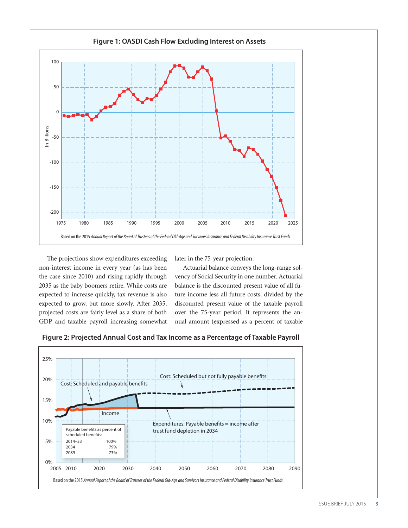

The projections show expenditures exceeding non-interest income in every year (as has been the case since 2010) and rising rapidly through 2035 as the baby boomers retire. While costs are expected to increase quickly, tax revenue is also expected to grow, but more slowly. After 2035, projected costs are fairly level as a share of both GDP and taxable payroll increasing somewhat

later in the 75-year projection.

Actuarial balance conveys the long-range solvency of Social Security in one number. Actuarial balance is the discounted present value of all future income less all future costs, divided by the discounted present value of the taxable payroll over the 75-year period. It represents the annual amount (expressed as a percent of taxable

**Figure 2: Projected Annual Cost and Tax Income as a Percentage of Taxable Payroll**

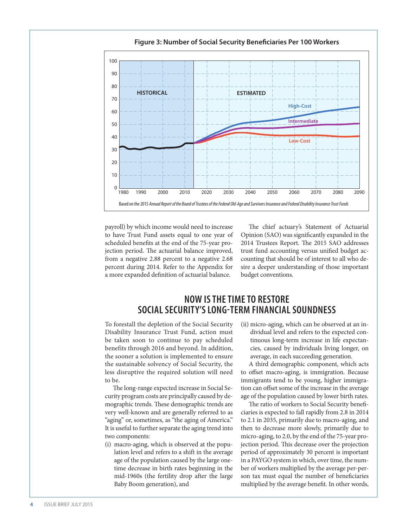

**Figure 3: Number of Social Security Beneficiaries Per 100 Workers**

payroll) by which income would need to increase to have Trust Fund assets equal to one year of scheduled benefits at the end of the 75-year projection period. The actuarial balance improved, from a negative 2.88 percent to a negative 2.68 percent during 2014. Refer to the Appendix for a more expanded definition of actuarial balance.

The chief actuary's Statement of Actuarial Opinion (SAO) was significantly expanded in the 2014 Trustees Report. The 2015 SAO addresses trust fund accounting versus unified budget accounting that should be of interest to all who desire a deeper understanding of those important budget conventions.

# **NOW IS THE TIME TO RESTORE SOCIAL SECURITY'S LONG-TERM FINANCIAL SOUNDNESS**

To forestall the depletion of the Social Security Disability Insurance Trust Fund, action must be taken soon to continue to pay scheduled benefits through 2016 and beyond. In addition, the sooner a solution is implemented to ensure the sustainable solvency of Social Security, the less disruptive the required solution will need to be.

The long-range expected increase in Social Security program costs are principally caused by demographic trends. These demographic trends are very well-known and are generally referred to as "aging" or, sometimes, as "the aging of America." It is useful to further separate the aging trend into two components:

(i) macro-aging, which is observed at the population level and refers to a shift in the average age of the population caused by the large onetime decrease in birth rates beginning in the mid-1960s (the fertility drop after the large Baby Boom generation), and

(ii) micro-aging, which can be observed at an individual level and refers to the expected continuous long-term increase in life expectancies, caused by individuals living longer, on average, in each succeeding generation.

A third demographic component, which acts to offset macro-aging, is immigration. Because immigrants tend to be young, higher immigration can offset some of the increase in the average age of the population caused by lower birth rates.

The ratio of workers to Social Security beneficiaries is expected to fall rapidly from 2.8 in 2014 to 2.1 in 2035, primarily due to macro-aging, and then to decrease more slowly, primarily due to micro-aging, to 2.0, by the end of the 75-year projection period. This decrease over the projection period of approximately 30 percent is important in a PAYGO system in which, over time, the number of workers multiplied by the average per-person tax must equal the number of beneficiaries multiplied by the average benefit. In other words,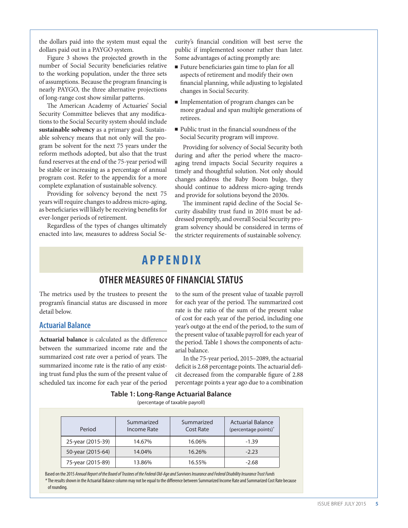the dollars paid into the system must equal the dollars paid out in a PAYGO system.

Figure 3 shows the projected growth in the number of Social Security beneficiaries relative to the working population, under the three sets of assumptions. Because the program financing is nearly PAYGO, the three alternative projections of long-range cost show similar patterns.

The American Academy of Actuaries' Social Security Committee believes that any modifications to the Social Security system should include **sustainable solvency** as a primary goal. Sustainable solvency means that not only will the program be solvent for the next 75 years under the reform methods adopted, but also that the trust fund reserves at the end of the 75-year period will be stable or increasing as a percentage of annual program cost. Refer to the appendix for a more complete explanation of sustainable solvency.

Providing for solvency beyond the next 75 years will require changes to address micro-aging, as beneficiaries will likely be receiving benefits for ever-longer periods of retirement.

Regardless of the types of changes ultimately enacted into law, measures to address Social Security's financial condition will best serve the public if implemented sooner rather than later. Some advantages of acting promptly are:

- $\blacksquare$  Future beneficiaries gain time to plan for all aspects of retirement and modify their own financial planning, while adjusting to legislated changes in Social Security.
- Implementation of program changes can be more gradual and span multiple generations of retirees.
- Public trust in the financial soundness of the Social Security program will improve.

Providing for solvency of Social Security both during and after the period where the macroaging trend impacts Social Security requires a timely and thoughtful solution. Not only should changes address the Baby Boom bulge, they should continue to address micro-aging trends and provide for solutions beyond the 2030s.

The imminent rapid decline of the Social Security disability trust fund in 2016 must be addressed promptly, and overall Social Security program solvency should be considered in terms of the stricter requirements of sustainable solvency.

# **APPENDIX**

## **OTHER MEASURES OF FINANCIAL STATUS**

The metrics used by the trustees to present the program's financial status are discussed in more detail below.

#### **Actuarial Balance**

**Actuarial balance** is calculated as the difference between the summarized income rate and the summarized cost rate over a period of years. The summarized income rate is the ratio of any existing trust fund plus the sum of the present value of scheduled tax income for each year of the period

to the sum of the present value of taxable payroll for each year of the period. The summarized cost rate is the ratio of the sum of the present value of cost for each year of the period, including one year's outgo at the end of the period, to the sum of the present value of taxable payroll for each year of the period. Table 1 shows the components of actuarial balance.

In the 75-year period, 2015–2089, the actuarial deficit is 2.68 percentage points. The actuarial deficit decreased from the comparable figure of 2.88 percentage points a year ago due to a combination

#### **Table 1: Long-Range Actuarial Balance**

(percentage of taxable payroll)

| Period            | Summarized<br>Income Rate | Summarized<br>Cost Rate | <b>Actuarial Balance</b><br>(percentage points) <sup>*</sup> |  |
|-------------------|---------------------------|-------------------------|--------------------------------------------------------------|--|
| 25-year (2015-39) | 14.67%                    | 16.06%                  | $-1.39$                                                      |  |
| 50-year (2015-64) | 14.04%                    | 16.26%                  | $-2.23$                                                      |  |
| 75-year (2015-89) | 13.86%                    | 16.55%                  | $-2.68$                                                      |  |

Based on the 2015 *Annual Report of the Board of Trustees of the Federal Old-Age and Survivors Insurance and Federal Disability Insurance Trust Funds \**The results shown in the Actuarial Balance column may not be equal to the difference between Summarized Income Rate and Summarized Cost Rate because of rounding.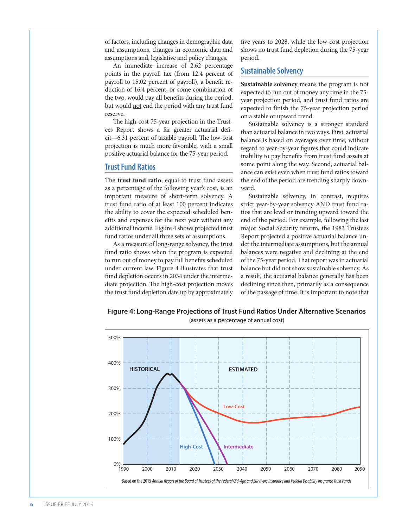of factors, including changes in demographic data and assumptions, changes in economic data and assumptions and, legislative and policy changes.

An immediate increase of 2.62 percentage points in the payroll tax (from 12.4 percent of payroll to 15.02 percent of payroll), a benefit reduction of 16.4 percent, or some combination of the two, would pay all benefits during the period, but would not end the period with any trust fund reserve.

The high-cost 75-year projection in the Trustees Report shows a far greater actuarial deficit—6.31 percent of taxable payroll. The low-cost projection is much more favorable, with a small positive actuarial balance for the 75-year period.

#### **Trust Fund Ratios**

The **trust fund ratio**, equal to trust fund assets as a percentage of the following year's cost, is an important measure of short-term solvency. A trust fund ratio of at least 100 percent indicates the ability to cover the expected scheduled benefits and expenses for the next year without any additional income. Figure 4 shows projected trust fund ratios under all three sets of assumptions.

As a measure of long-range solvency, the trust fund ratio shows when the program is expected to run out of money to pay full benefits scheduled under current law. Figure 4 illustrates that trust fund depletion occurs in 2034 under the intermediate projection. The high-cost projection moves the trust fund depletion date up by approximately five years to 2028, while the low-cost projection shows no trust fund depletion during the 75-year period.

#### **Sustainable Solvency**

**Sustainable solvency** means the program is not expected to run out of money any time in the 75 year projection period, and trust fund ratios are expected to finish the 75-year projection period on a stable or upward trend.

Sustainable solvency is a stronger standard than actuarial balance in two ways. First, actuarial balance is based on averages over time, without regard to year-by-year figures that could indicate inability to pay benefits from trust fund assets at some point along the way. Second, actuarial balance can exist even when trust fund ratios toward the end of the period are trending sharply downward.

Sustainable solvency, in contrast, requires strict year-by-year solvency AND trust fund ratios that are level or trending upward toward the end of the period. For example, following the last major Social Security reform, the 1983 Trustees Report projected a positive actuarial balance under the intermediate assumptions, but the annual balances were negative and declining at the end of the 75-year period. That report was in actuarial balance but did not show sustainable solvency. As a result, the actuarial balance generally has been declining since then, primarily as a consequence of the passage of time. It is important to note that



**Figure 4: Long-Range Projections of Trust Fund Ratios Under Alternative Scenarios** (assets as a percentage of annual cost)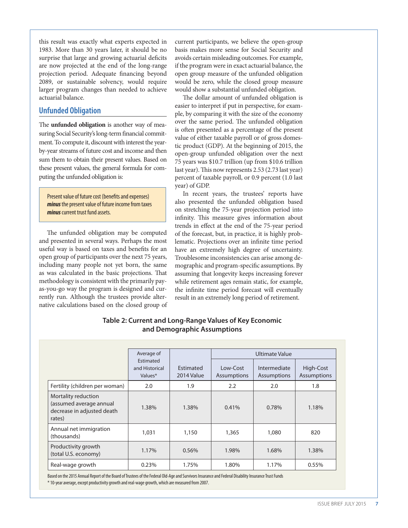this result was exactly what experts expected in 1983. More than 30 years later, it should be no surprise that large and growing actuarial deficits are now projected at the end of the long-range projection period. Adequate financing beyond 2089, or sustainable solvency, would require larger program changes than needed to achieve actuarial balance.

#### **Unfunded Obligation**

The **unfunded obligation** is another way of measuring Social Security's long-term financial commitment. To compute it, discount with interest the yearby-year streams of future cost and income and then sum them to obtain their present values. Based on these present values, the general formula for computing the unfunded obligation is:

Present value of future cost (benefits and expenses) *minus* the present value of future income from taxes *minus* current trust fund assets.

The unfunded obligation may be computed and presented in several ways. Perhaps the most useful way is based on taxes and benefits for an open group of participants over the next 75 years, including many people not yet born, the same as was calculated in the basic projections. That methodology is consistent with the primarily payas-you-go way the program is designed and currently run. Although the trustees provide alternative calculations based on the closed group of current participants, we believe the open-group basis makes more sense for Social Security and avoids certain misleading outcomes. For example, if the program were in exact actuarial balance, the open group measure of the unfunded obligation would be zero, while the closed group measure would show a substantial unfunded obligation.

The dollar amount of unfunded obligation is easier to interpret if put in perspective, for example, by comparing it with the size of the economy over the same period. The unfunded obligation is often presented as a percentage of the present value of either taxable payroll or of gross domestic product (GDP). At the beginning of 2015, the open-group unfunded obligation over the next 75 years was \$10.7 trillion (up from \$10.6 trillion last year). This now represents 2.53 (2.73 last year) percent of taxable payroll, or 0.9 percent (1.0 last year) of GDP.

In recent years, the trustees' reports have also presented the unfunded obligation based on stretching the 75-year projection period into infinity. This measure gives information about trends in effect at the end of the 75-year period of the forecast, but, in practice, it is highly problematic. Projections over an infinite time period have an extremely high degree of uncertainty. Troublesome inconsistencies can arise among demographic and program-specific assumptions. By assuming that longevity keeps increasing forever while retirement ages remain static, for example, the infinite time period forecast will eventually result in an extremely long period of retirement.

|                                                                                        | Average of<br>Estimated<br>and Historical<br>Values* | <b>Fstimated</b><br>2014 Value | $low-Cost$<br>Assumptions | Ultimate Value<br>Intermediate<br><b>Assumptions</b> | High-Cost<br>Assumptions |
|----------------------------------------------------------------------------------------|------------------------------------------------------|--------------------------------|---------------------------|------------------------------------------------------|--------------------------|
| Fertility (children per woman)                                                         | 2.0                                                  | 1.9                            | 2.2                       | 2.0                                                  | 1.8                      |
| Mortality reduction<br>(assumed average annual<br>decrease in adjusted death<br>rates) | 1.38%                                                | 1.38%                          | 0.41%                     | 0.78%                                                | 1.18%                    |
| Annual net immigration<br>(thousands)                                                  | 1,031                                                | 1,150                          | 1,365                     | 1,080                                                | 820                      |
| Productivity growth<br>(total U.S. economy)                                            | 1.17%                                                | 0.56%                          | 1.98%                     | 1.68%                                                | 1.38%                    |
| Real-wage growth                                                                       | 0.23%                                                | 1.75%                          | 1.80%                     | 1.17%                                                | 0.55%                    |

#### **Table 2: Current and Long-Range Values of Key Economic and Demographic Assumptions**

Based on the 2015 Annual Report of the Board of Trustees of the Federal Old-Age and Survivors Insurance and Federal Disability Insurance Trust Funds \* 10-year average, except productivity growth and real-wage growth, which are measured from 2007.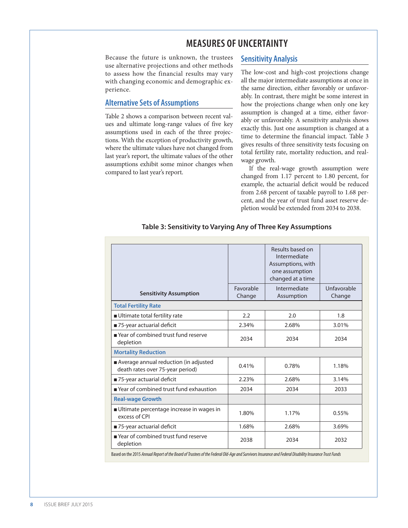# **MEASURES OF UNCERTAINTY**

Because the future is unknown, the trustees use alternative projections and other methods to assess how the financial results may vary with changing economic and demographic experience.

#### **Alternative Sets of Assumptions**

Table 2 shows a comparison between recent values and ultimate long-range values of five key assumptions used in each of the three projections. With the exception of productivity growth, where the ultimate values have not changed from last year's report, the ultimate values of the other assumptions exhibit some minor changes when compared to last year's report.

#### **Sensitivity Analysis**

The low-cost and high-cost projections change all the major intermediate assumptions at once in the same direction, either favorably or unfavorably. In contrast, there might be some interest in how the projections change when only one key assumption is changed at a time, either favorably or unfavorably. A sensitivity analysis shows exactly this. Just one assumption is changed at a time to determine the financial impact. Table 3 gives results of three sensitivity tests focusing on total fertility rate, mortality reduction, and realwage growth.

If the real-wage growth assumption were changed from 1.17 percent to 1.80 percent, for example, the actuarial deficit would be reduced from 2.68 percent of taxable payroll to 1.68 percent, and the year of trust fund asset reserve depletion would be extended from 2034 to 2038.

|                                                                           |                     | Results based on<br>Intermediate<br>Assumptions, with<br>one assumption<br>changed at a time |                       |
|---------------------------------------------------------------------------|---------------------|----------------------------------------------------------------------------------------------|-----------------------|
| <b>Sensitivity Assumption</b>                                             | Favorable<br>Change | Intermediate<br>Assumption                                                                   | Unfavorable<br>Change |
| <b>Total Fertility Rate</b>                                               |                     |                                                                                              |                       |
| ■ Ultimate total fertility rate                                           | 2.2                 | 2.0                                                                                          | 1.8                   |
| 75-year actuarial deficit                                                 | 2.34%               | 2.68%                                                                                        | 3.01%                 |
| Year of combined trust fund reserve<br>depletion                          | 2034                | 2034                                                                                         | 2034                  |
| <b>Mortality Reduction</b>                                                |                     |                                                                                              |                       |
| Average annual reduction (in adjusted<br>death rates over 75-year period) | 0.41%               | 0.78%                                                                                        | 1.18%                 |
| 75-year actuarial deficit                                                 | 2.23%               | 2.68%                                                                                        | 3.14%                 |
| Year of combined trust fund exhaustion                                    | 2034                | 2034                                                                                         | 2033                  |
| <b>Real-wage Growth</b>                                                   |                     |                                                                                              |                       |
| Ultimate percentage increase in wages in<br>excess of CPI                 | 1.80%               | 1.17%                                                                                        | 0.55%                 |
| 75-year actuarial deficit                                                 | 1.68%               | 2.68%                                                                                        | 3.69%                 |
| Year of combined trust fund reserve<br>depletion                          | 2038                | 2034                                                                                         | 2032                  |

#### **Table 3: Sensitivity to Varying Any of Three Key Assumptions**